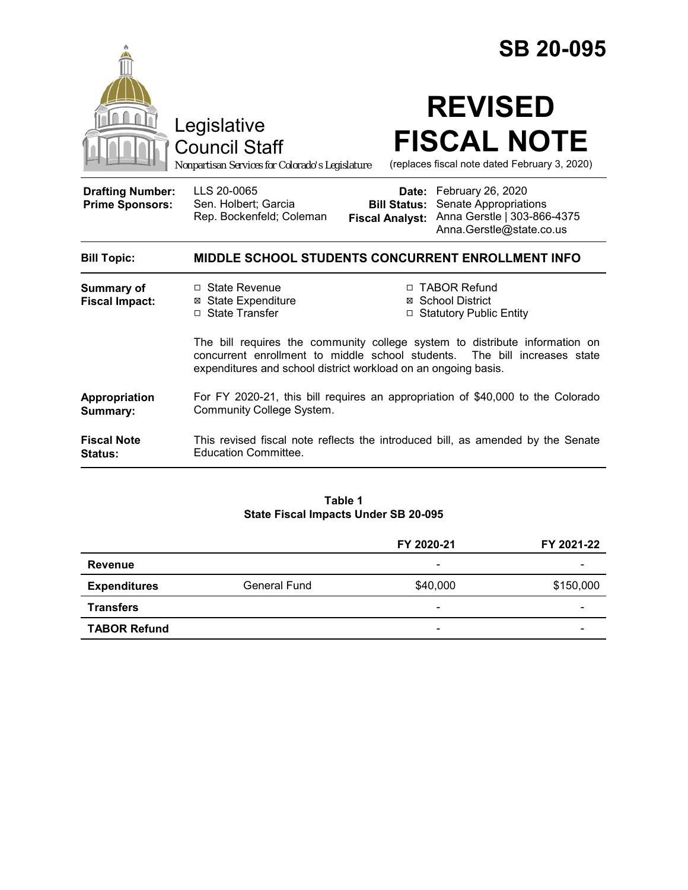|                                                   |                                                                                                                                                                                                                               |                                                                                       | <b>SB 20-095</b>                                                                                            |  |
|---------------------------------------------------|-------------------------------------------------------------------------------------------------------------------------------------------------------------------------------------------------------------------------------|---------------------------------------------------------------------------------------|-------------------------------------------------------------------------------------------------------------|--|
|                                                   | Legislative<br><b>Council Staff</b><br>Nonpartisan Services for Colorado's Legislature                                                                                                                                        | <b>REVISED</b><br><b>FISCAL NOTE</b><br>(replaces fiscal note dated February 3, 2020) |                                                                                                             |  |
| <b>Drafting Number:</b><br><b>Prime Sponsors:</b> | LLS 20-0065<br>Sen. Holbert; Garcia<br>Rep. Bockenfeld; Coleman                                                                                                                                                               | <b>Bill Status:</b><br><b>Fiscal Analyst:</b>                                         | Date: February 26, 2020<br>Senate Appropriations<br>Anna Gerstle   303-866-4375<br>Anna.Gerstle@state.co.us |  |
| <b>Bill Topic:</b>                                | <b>MIDDLE SCHOOL STUDENTS CONCURRENT ENROLLMENT INFO</b>                                                                                                                                                                      |                                                                                       |                                                                                                             |  |
| <b>Summary of</b><br><b>Fiscal Impact:</b>        | $\Box$ State Revenue<br><b>⊠</b> State Expenditure<br>□ State Transfer                                                                                                                                                        |                                                                                       | □ TABOR Refund<br><b>⊠</b> School District<br>□ Statutory Public Entity                                     |  |
|                                                   | The bill requires the community college system to distribute information on<br>concurrent enrollment to middle school students.<br>The bill increases state<br>expenditures and school district workload on an ongoing basis. |                                                                                       |                                                                                                             |  |
| Appropriation<br>Summary:                         | For FY 2020-21, this bill requires an appropriation of \$40,000 to the Colorado<br><b>Community College System.</b>                                                                                                           |                                                                                       |                                                                                                             |  |
| <b>Fiscal Note</b><br><b>Status:</b>              | This revised fiscal note reflects the introduced bill, as amended by the Senate<br><b>Education Committee.</b>                                                                                                                |                                                                                       |                                                                                                             |  |
|                                                   |                                                                                                                                                                                                                               |                                                                                       |                                                                                                             |  |

#### **Table 1 State Fiscal Impacts Under SB 20-095**

|                     |              | FY 2020-21               | FY 2021-22 |
|---------------------|--------------|--------------------------|------------|
| <b>Revenue</b>      |              | $\overline{\phantom{a}}$ |            |
| <b>Expenditures</b> | General Fund | \$40,000                 | \$150,000  |
| <b>Transfers</b>    |              | $\overline{\phantom{a}}$ | -          |
| <b>TABOR Refund</b> |              | $\overline{\phantom{a}}$ |            |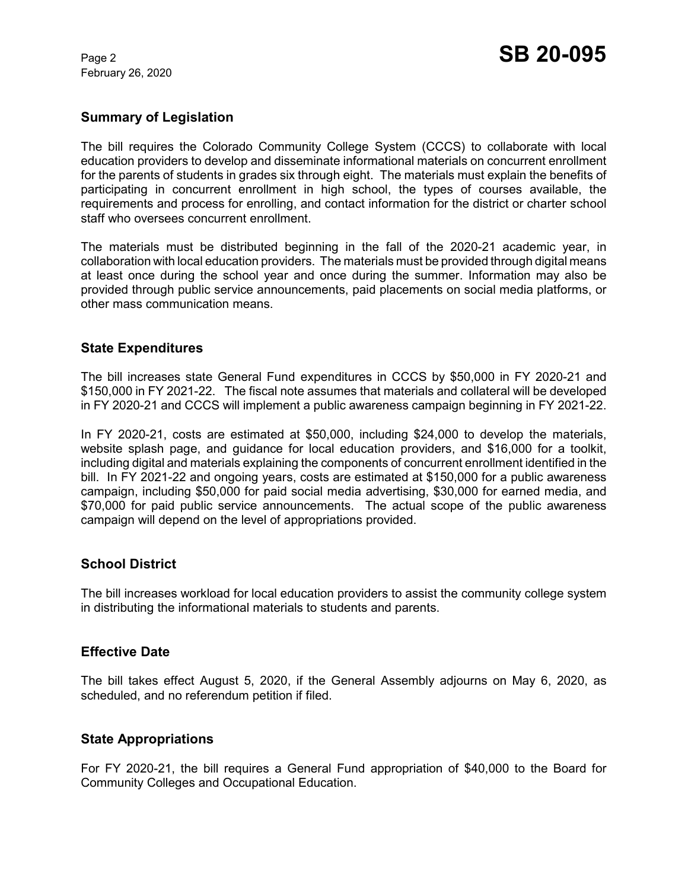February 26, 2020

# **Summary of Legislation**

The bill requires the Colorado Community College System (CCCS) to collaborate with local education providers to develop and disseminate informational materials on concurrent enrollment for the parents of students in grades six through eight. The materials must explain the benefits of participating in concurrent enrollment in high school, the types of courses available, the requirements and process for enrolling, and contact information for the district or charter school staff who oversees concurrent enrollment.

The materials must be distributed beginning in the fall of the 2020-21 academic year, in collaboration with local education providers. The materials must be provided through digital means at least once during the school year and once during the summer. Information may also be provided through public service announcements, paid placements on social media platforms, or other mass communication means.

### **State Expenditures**

The bill increases state General Fund expenditures in CCCS by \$50,000 in FY 2020-21 and \$150,000 in FY 2021-22. The fiscal note assumes that materials and collateral will be developed in FY 2020-21 and CCCS will implement a public awareness campaign beginning in FY 2021-22.

In FY 2020-21, costs are estimated at \$50,000, including \$24,000 to develop the materials, website splash page, and guidance for local education providers, and \$16,000 for a toolkit, including digital and materials explaining the components of concurrent enrollment identified in the bill. In FY 2021-22 and ongoing years, costs are estimated at \$150,000 for a public awareness campaign, including \$50,000 for paid social media advertising, \$30,000 for earned media, and \$70,000 for paid public service announcements. The actual scope of the public awareness campaign will depend on the level of appropriations provided.

### **School District**

The bill increases workload for local education providers to assist the community college system in distributing the informational materials to students and parents.

### **Effective Date**

The bill takes effect August 5, 2020, if the General Assembly adjourns on May 6, 2020, as scheduled, and no referendum petition if filed.

### **State Appropriations**

For FY 2020-21, the bill requires a General Fund appropriation of \$40,000 to the Board for Community Colleges and Occupational Education.